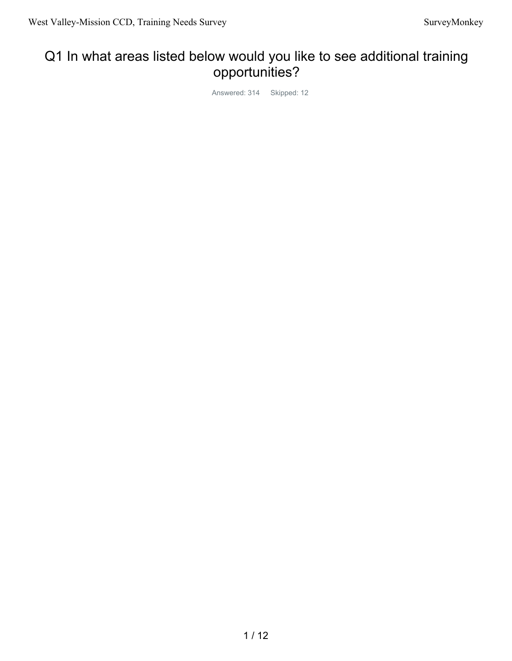# Q1 In what areas listed below would you like to see additional training opportunities?

Answered: 314 Skipped: 12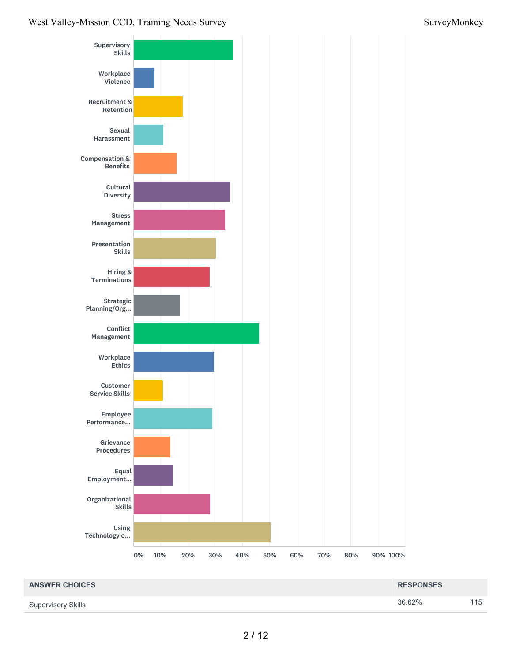#### West Valley-Mission CCD, Training Needs Survey Survey Survey Survey Survey Survey Survey Survey Survey Survey Survey Survey Survey Survey Survey Survey Survey Survey Survey Survey Survey Survey Survey Survey Survey Survey



| <b>ANSWER CHOICES</b>     | <b>RESPONSES</b> |     |
|---------------------------|------------------|-----|
| <b>Supervisory Skills</b> | 36.62%           | 115 |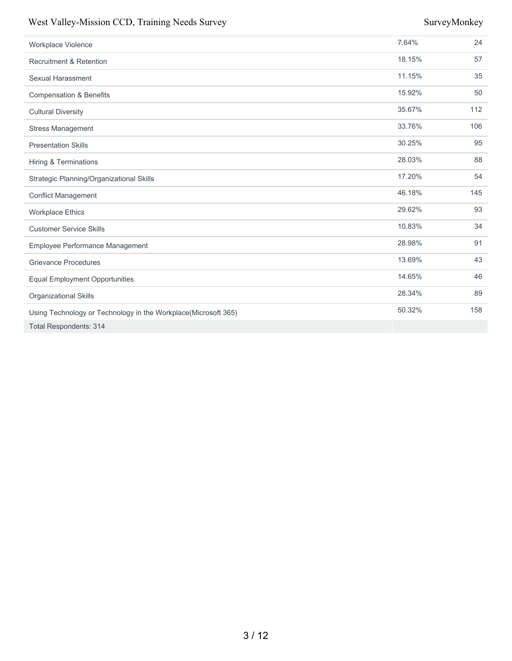#### West Valley-Mission CCD, Training Needs Survey Survey Survey Survey Survey Survey Survey Survey Survey Survey

| Workplace Violence                                             | 7.64%  | 24  |
|----------------------------------------------------------------|--------|-----|
| <b>Recruitment &amp; Retention</b>                             | 18.15% | 57  |
| <b>Sexual Harassment</b>                                       | 11.15% | 35  |
| <b>Compensation &amp; Benefits</b>                             | 15.92% | 50  |
| <b>Cultural Diversity</b>                                      | 35.67% | 112 |
| <b>Stress Management</b>                                       | 33.76% | 106 |
| <b>Presentation Skills</b>                                     | 30.25% | 95  |
| <b>Hiring &amp; Terminations</b>                               | 28.03% | 88  |
| Strategic Planning/Organizational Skills                       | 17.20% | 54  |
| <b>Conflict Management</b>                                     | 46.18% | 145 |
| <b>Workplace Ethics</b>                                        | 29.62% | 93  |
| <b>Customer Service Skills</b>                                 | 10.83% | 34  |
| <b>Employee Performance Management</b>                         | 28.98% | 91  |
| <b>Grievance Procedures</b>                                    | 13.69% | 43  |
| <b>Equal Employment Opportunities</b>                          | 14.65% | 46  |
| Organizational Skills                                          | 28.34% | 89  |
| Using Technology or Technology in the Workplace(Microsoft 365) | 50.32% | 158 |
| <b>Total Respondents: 314</b>                                  |        |     |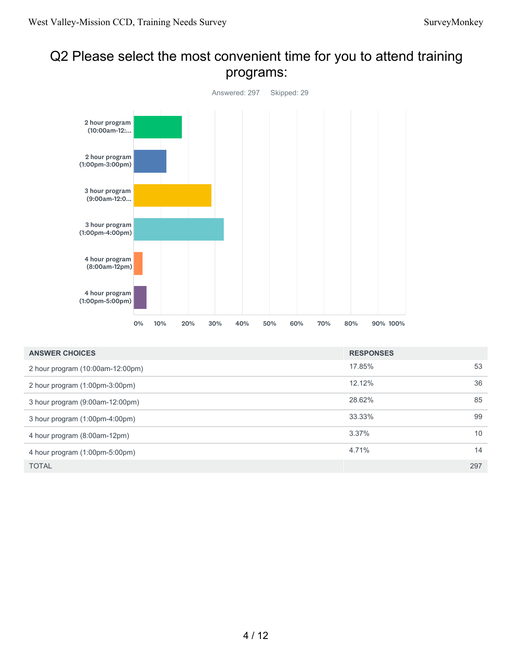#### Q2 Please select the most convenient time for you to attend training programs:



| <b>ANSWER CHOICES</b>            | <b>RESPONSES</b> |     |
|----------------------------------|------------------|-----|
| 2 hour program (10:00am-12:00pm) | 17.85%           | 53  |
| 2 hour program (1:00pm-3:00pm)   | 12.12%           | 36  |
| 3 hour program (9:00am-12:00pm)  | 28.62%           | 85  |
| 3 hour program (1:00pm-4:00pm)   | 33.33%           | 99  |
| 4 hour program (8:00am-12pm)     | 3.37%            | 10  |
| 4 hour program (1:00pm-5:00pm)   | 4.71%            | 14  |
| <b>TOTAL</b>                     |                  | 297 |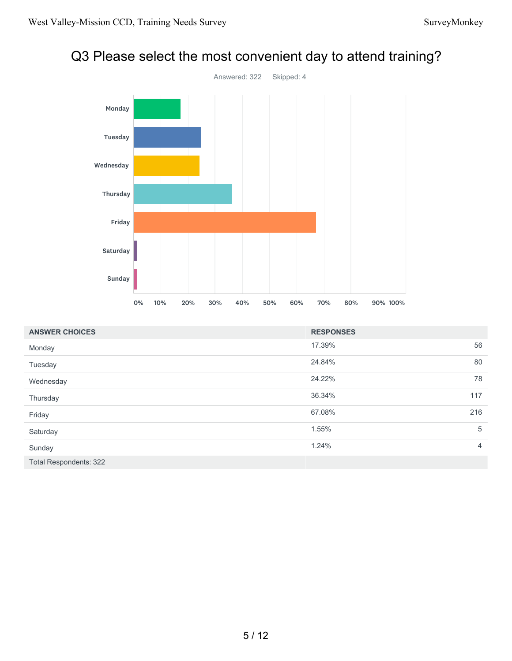

#### Q3 Please select the most convenient day to attend training?

| <b>ANSWER CHOICES</b>         | <b>RESPONSES</b> |                |
|-------------------------------|------------------|----------------|
| Monday                        | 17.39%           | 56             |
| Tuesday                       | 24.84%           | 80             |
| Wednesday                     | 24.22%           | 78             |
| Thursday                      | 36.34%           | 117            |
| Friday                        | 67.08%           | 216            |
| Saturday                      | 1.55%            | 5              |
| Sunday                        | 1.24%            | $\overline{4}$ |
| <b>Total Respondents: 322</b> |                  |                |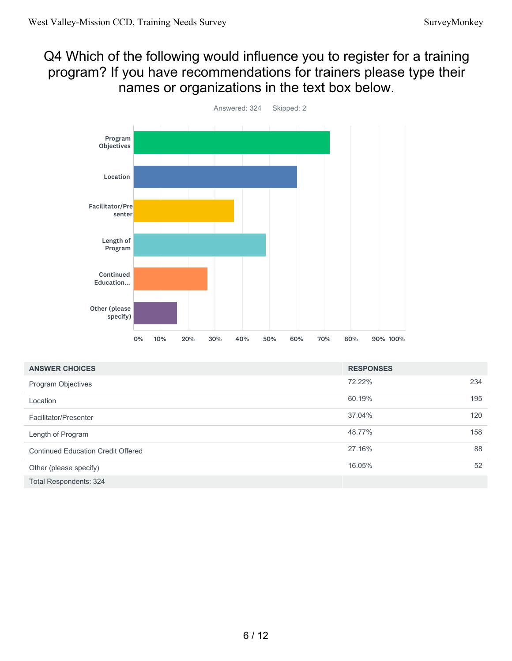#### Q4 Which of the following would influence you to register for a training program? If you have recommendations for trainers please type their names or organizations in the text box below.



| <b>ANSWER CHOICES</b>                     | <b>RESPONSES</b> |     |
|-------------------------------------------|------------------|-----|
| <b>Program Objectives</b>                 | 72.22%           | 234 |
| Location                                  | 60.19%           | 195 |
| Facilitator/Presenter                     | 37.04%           | 120 |
| Length of Program                         | 48.77%           | 158 |
| <b>Continued Education Credit Offered</b> | 27.16%           | 88  |
| Other (please specify)                    | 16.05%           | 52  |
| Total Respondents: 324                    |                  |     |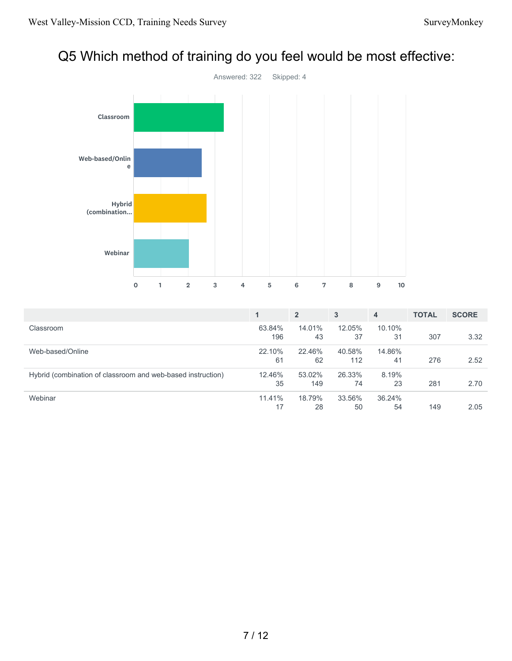# Q5 Which method of training do you feel would be most effective:



|                                                             | 1               | $\overline{2}$ | 3             | $\overline{4}$ | <b>TOTAL</b> | <b>SCORE</b> |
|-------------------------------------------------------------|-----------------|----------------|---------------|----------------|--------------|--------------|
| Classroom                                                   | 63.84%<br>196   | 14.01%<br>43   | 12.05%<br>37  | 10.10%<br>31   | 307          | 3.32         |
| Web-based/Online                                            | 22.10%<br>61    | 22.46%<br>62   | 40.58%<br>112 | 14.86%<br>41   | 276          | 2.52         |
| Hybrid (combination of classroom and web-based instruction) | 12.46%<br>35    | 53.02%<br>149  | 26.33%<br>74  | 8.19%<br>23    | 281          | 2.70         |
| Webinar                                                     | $11.41\%$<br>17 | 18.79%<br>28   | 33.56%<br>50  | 36.24%<br>54   | 149          | 2.05         |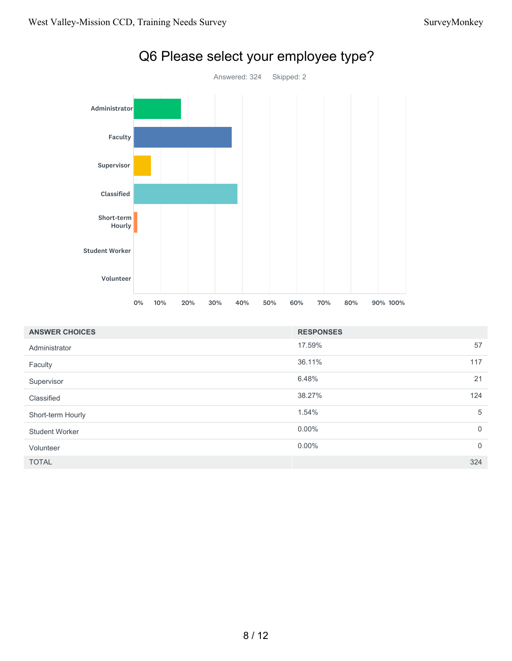

# Q6 Please select your employee type?

| <b>ANSWER CHOICES</b> | <b>RESPONSES</b> |             |
|-----------------------|------------------|-------------|
| Administrator         | 17.59%           | 57          |
| Faculty               | 36.11%           | 117         |
| Supervisor            | 6.48%            | 21          |
| Classified            | 38.27%           | 124         |
| Short-term Hourly     | 1.54%            | 5           |
| <b>Student Worker</b> | $0.00\%$         | $\mathbf 0$ |
| Volunteer             | $0.00\%$         | $\mathbf 0$ |
| <b>TOTAL</b>          |                  | 324         |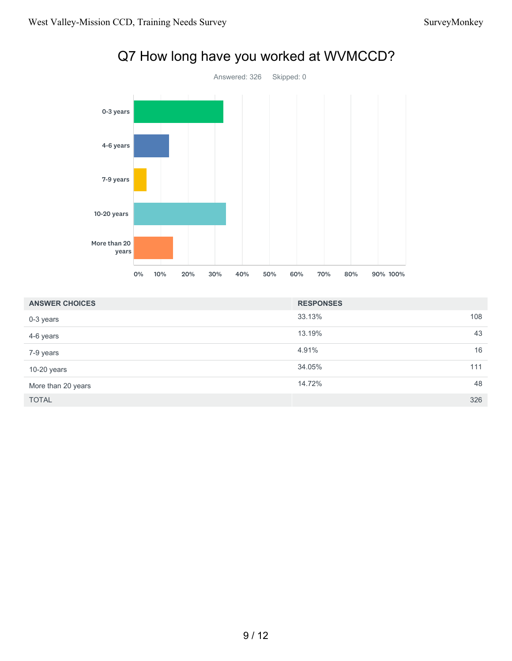

| <b>ANSWER CHOICES</b> | <b>RESPONSES</b> |     |
|-----------------------|------------------|-----|
| 0-3 years             | 33.13%           | 108 |
| 4-6 years             | 13.19%           | 43  |
| 7-9 years             | 4.91%            | 16  |
| 10-20 years           | 34.05%           | 111 |
| More than 20 years    | 14.72%           | 48  |
| <b>TOTAL</b>          |                  | 326 |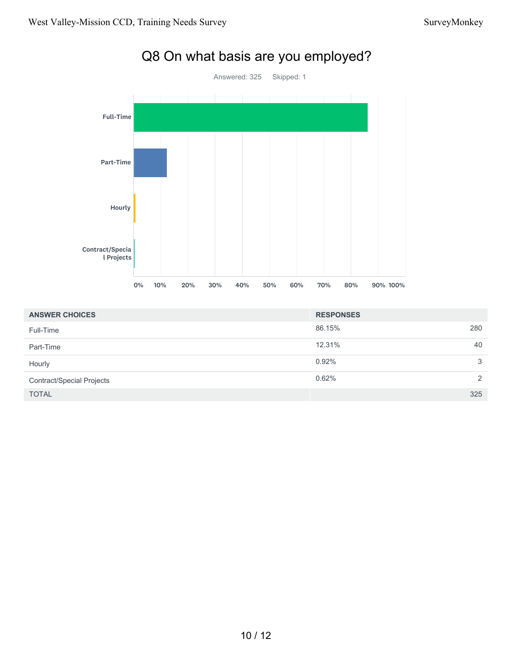

| <b>ANSWER CHOICES</b>            | <b>RESPONSES</b> |               |
|----------------------------------|------------------|---------------|
| Full-Time                        | 86.15%           | 280           |
| Part-Time                        | 12.31%           | 40            |
| Hourly                           | 0.92%            | 3             |
| <b>Contract/Special Projects</b> | 0.62%            | $\mathcal{L}$ |
| <b>TOTAL</b>                     |                  | 325           |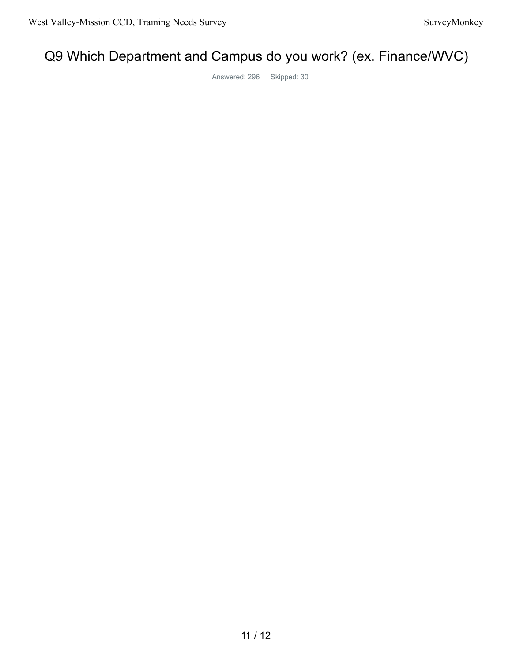# Q9 Which Department and Campus do you work? (ex. Finance/WVC)

Answered: 296 Skipped: 30